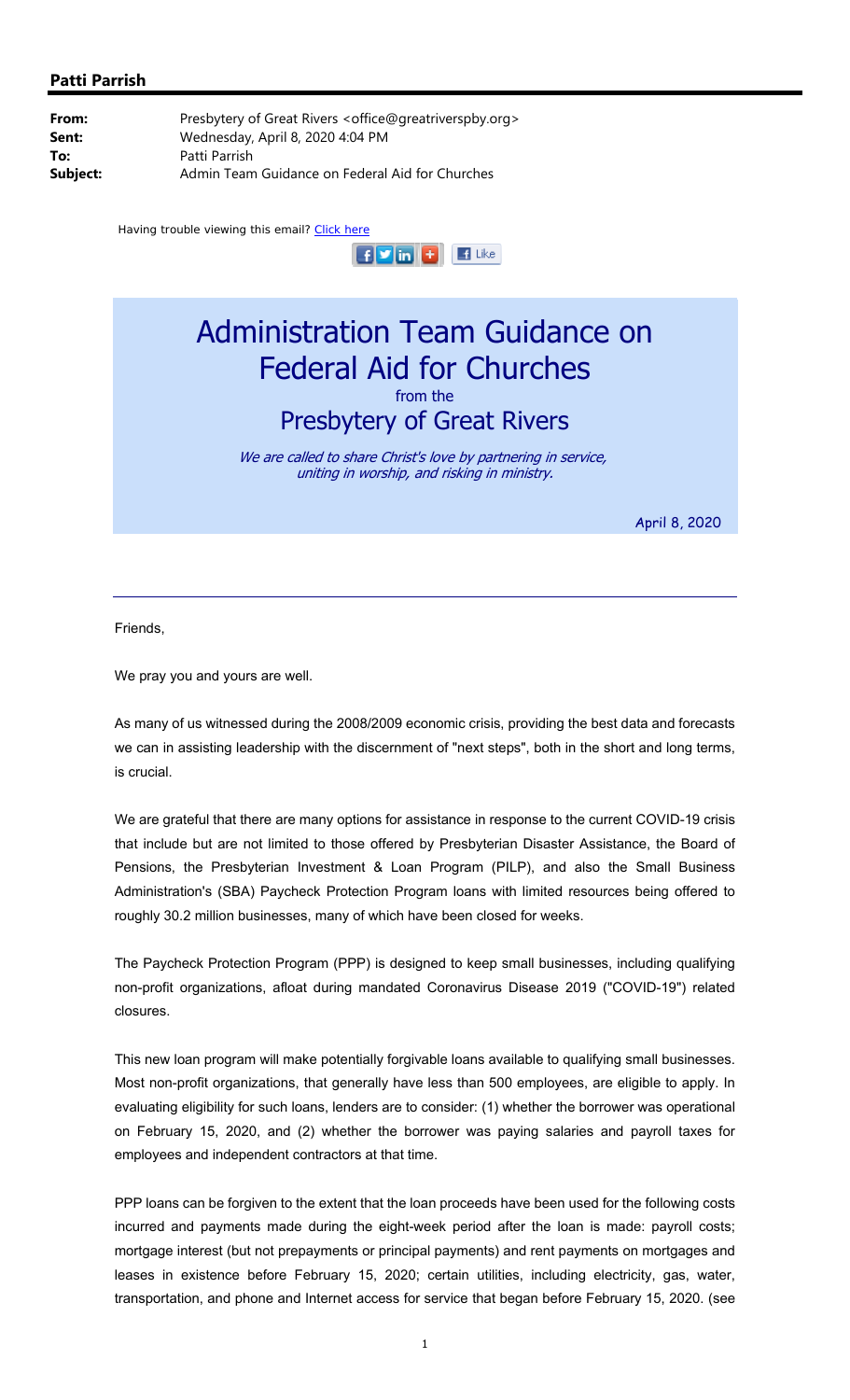

## Administration Team Guidance on Federal Aid for Churches from the Presbytery of Great Rivers

We are called to share Christ's love by partnering in service, uniting in worship, and risking in ministry.

April 8, 2020

Friends,

We pray you and yours are well.

As many of us witnessed during the 2008/2009 economic crisis, providing the best data and forecasts we can in assisting leadership with the discernment of "next steps", both in the short and long terms, is crucial.

We are grateful that there are many options for assistance in response to the current COVID-19 crisis that include but are not limited to those offered by Presbyterian Disaster Assistance, the Board of Pensions, the Presbyterian Investment & Loan Program (PILP), and also the Small Business Administration's (SBA) Paycheck Protection Program loans with limited resources being offered to roughly 30.2 million businesses, many of which have been closed for weeks.

The Paycheck Protection Program (PPP) is designed to keep small businesses, including qualifying non-profit organizations, afloat during mandated Coronavirus Disease 2019 ("COVID-19") related closures.

This new loan program will make potentially forgivable loans available to qualifying small businesses. Most non-profit organizations, that generally have less than 500 employees, are eligible to apply. In evaluating eligibility for such loans, lenders are to consider: (1) whether the borrower was operational on February 15, 2020, and (2) whether the borrower was paying salaries and payroll taxes for employees and independent contractors at that time.

PPP loans can be forgiven to the extent that the loan proceeds have been used for the following costs incurred and payments made during the eight-week period after the loan is made: payroll costs; mortgage interest (but not prepayments or principal payments) and rent payments on mortgages and leases in existence before February 15, 2020; certain utilities, including electricity, gas, water, transportation, and phone and Internet access for service that began before February 15, 2020. (see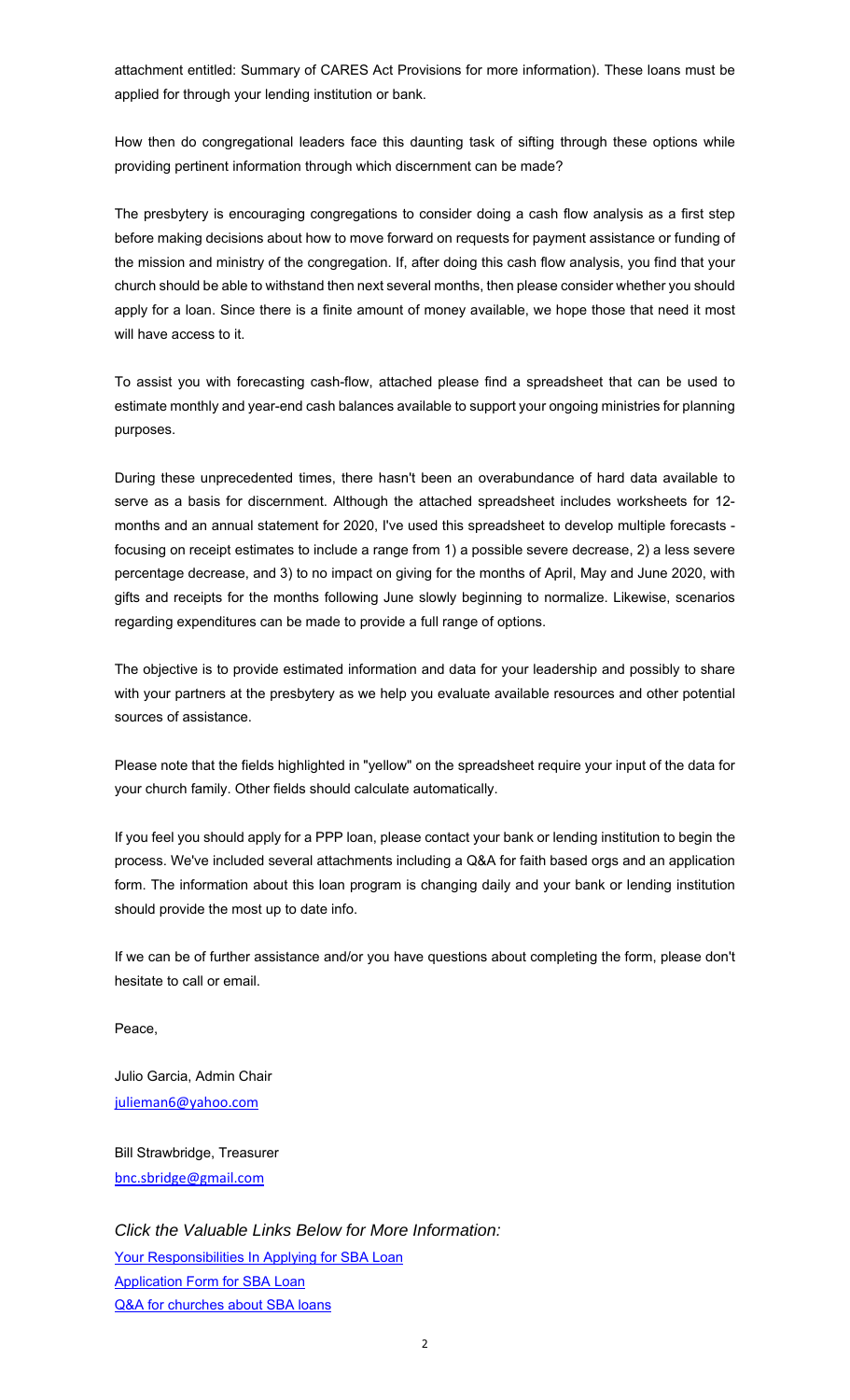attachment entitled: Summary of CARES Act Provisions for more information). These loans must be applied for through your lending institution or bank.

How then do congregational leaders face this daunting task of sifting through these options while providing pertinent information through which discernment can be made?

The presbytery is encouraging congregations to consider doing a cash flow analysis as a first step before making decisions about how to move forward on requests for payment assistance or funding of the mission and ministry of the congregation. If, after doing this cash flow analysis, you find that your church should be able to withstand then next several months, then please consider whether you should apply for a loan. Since there is a finite amount of money available, we hope those that need it most will have access to it.

To assist you with forecasting cash-flow, attached please find a spreadsheet that can be used to estimate monthly and year-end cash balances available to support your ongoing ministries for planning purposes.

During these unprecedented times, there hasn't been an overabundance of hard data available to serve as a basis for discernment. Although the attached spreadsheet includes worksheets for 12 months and an annual statement for 2020, I've used this spreadsheet to develop multiple forecasts focusing on receipt estimates to include a range from 1) a possible severe decrease, 2) a less severe percentage decrease, and 3) to no impact on giving for the months of April, May and June 2020, with gifts and receipts for the months following June slowly beginning to normalize. Likewise, scenarios regarding expenditures can be made to provide a full range of options.

The objective is to provide estimated information and data for your leadership and possibly to share with your partners at the presbytery as we help you evaluate available resources and other potential sources of assistance.

Please note that the fields highlighted in "yellow" on the spreadsheet require your input of the data for your church family. Other fields should calculate automatically.

If you feel you should apply for a PPP loan, please contact your bank or lending institution to begin the process. We've included several attachments including a Q&A for faith based orgs and an application form. The information about this loan program is changing daily and your bank or lending institution should provide the most up to date info.

If we can be of further assistance and/or you have questions about completing the form, please don't hesitate to call or email.

Peace,

Julio Garcia, Admin Chair julieman6@yahoo.com

Bill Strawbridge, Treasurer bnc.sbridge@gmail.com

*Click the Valuable Links Below for More Information:* [Your Responsibilities In Applying for SBA Loan](http://www.greatriverspby.org/uploads/2/4/5/6/24561669/borrowers_needs_for_sba_loans.pdf) [Application Form for SBA Loan](http://www.greatriverspby.org/uploads/2/4/5/6/24561669/ppp_borrower_application_form.pdf) [Q&A for churches about SBA loans](http://www.greatriverspby.org/uploads/2/4/5/6/24561669/sba_faith-based_faq_final.pdf)